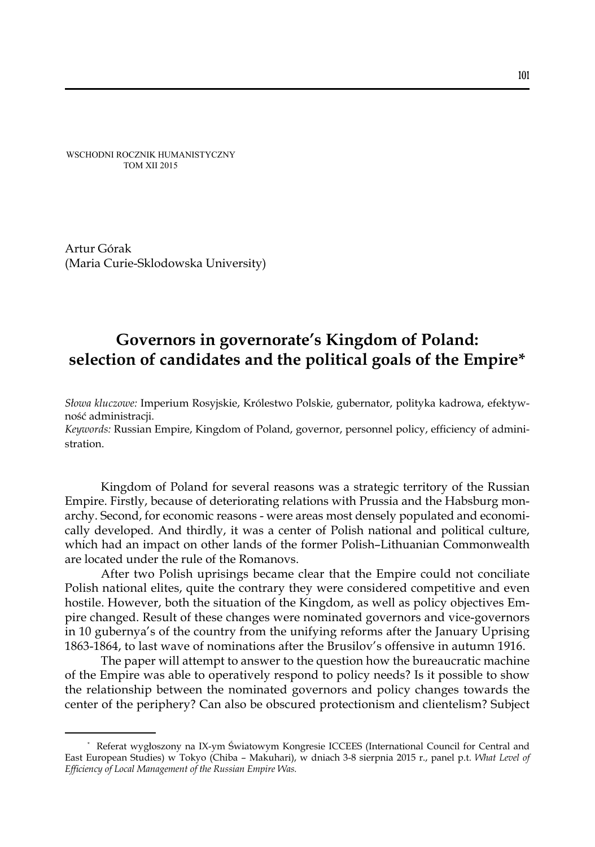WSCHODNI ROCZNIK HUMANISTYCZNY TOM XII 2015

Artur Górak (Maria Curie-Sklodowska University)

# **Governors in governorate's Kingdom of Poland: selection of candidates and the political goals of the Empire\***

*Słowa kluczowe:* Imperium Rosyjskie, Królestwo Polskie, gubernator, polityka kadrowa, efektywność administracji.

*Keywords:* Russian Empire, Kingdom of Poland, governor, personnel policy, efficiency of administration.

Kingdom of Poland for several reasons was a strategic territory of the Russian Empire. Firstly, because of deteriorating relations with Prussia and the Habsburg monarchy. Second, for economic reasons - were areas most densely populated and economically developed. And thirdly, it was a center of Polish national and political culture, which had an impact on other lands of the former Polish–Lithuanian Commonwealth are located under the rule of the Romanovs.

After two Polish uprisings became clear that the Empire could not conciliate Polish national elites, quite the contrary they were considered competitive and even hostile. However, both the situation of the Kingdom, as well as policy objectives Empire changed. Result of these changes were nominated governors and vice-governors in 10 gubernya's of the country from the unifying reforms after the January Uprising 1863-1864, to last wave of nominations after the Brusilov's offensive in autumn 1916.

The paper will attempt to answer to the question how the bureaucratic machine of the Empire was able to operatively respond to policy needs? Is it possible to show the relationship between the nominated governors and policy changes towards the center of the periphery? Can also be obscured protectionism and clientelism? Subject

<sup>\*</sup> Referat wygłoszony na IX-ym Światowym Kongresie ICCEES (International Council for Central and East European Studies) w Tokyo (Chiba – Makuhari), w dniach 3-8 sierpnia 2015 r., panel p.t. *What Level of Efficiency of Local Management of the Russian Empire Was.*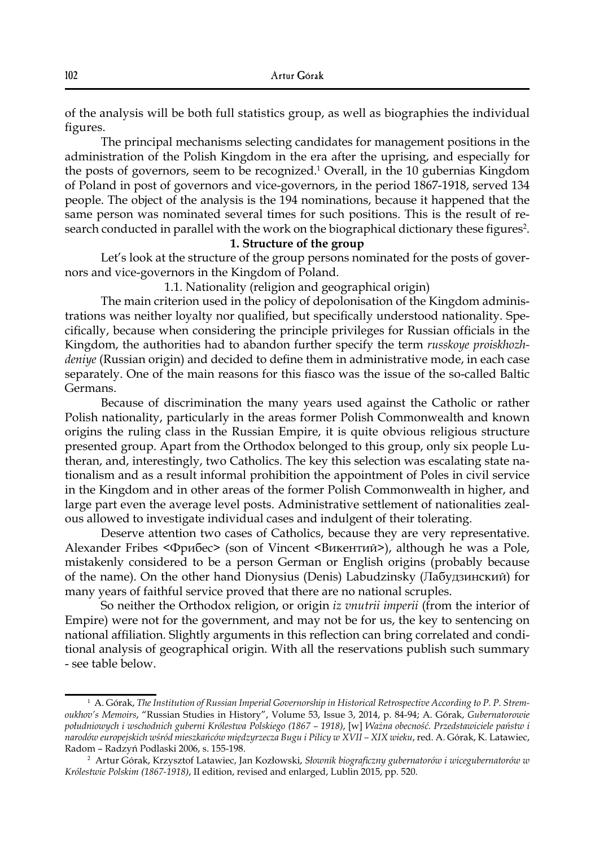of the analysis will be both full statistics group, as well as biographies the individual figures.

The principal mechanisms selecting candidates for management positions in the administration of the Polish Kingdom in the era after the uprising, and especially for the posts of governors, seem to be recognized.<sup>1</sup> Overall, in the 10 gubernias Kingdom of Poland in post of governors and vice-governors, in the period 1867-1918, served 134 people. The object of the analysis is the 194 nominations, because it happened that the same person was nominated several times for such positions. This is the result of research conducted in parallel with the work on the biographical dictionary these figures $^2$ .

#### **1. Structure of the group**

Let's look at the structure of the group persons nominated for the posts of governors and vice-governors in the Kingdom of Poland.

1.1. Nationality (religion and geographical origin)

The main criterion used in the policy of depolonisation of the Kingdom administrations was neither loyalty nor qualified, but specifically understood nationality. Specifically, because when considering the principle privileges for Russian officials in the Kingdom, the authorities had to abandon further specify the term *russkoye proiskhozhdeniye* (Russian origin) and decided to define them in administrative mode, in each case separately. One of the main reasons for this fiasco was the issue of the so-called Baltic Germans.

Because of discrimination the many years used against the Catholic or rather Polish nationality, particularly in the areas former Polish Commonwealth and known origins the ruling class in the Russian Empire, it is quite obvious religious structure presented group. Apart from the Orthodox belonged to this group, only six people Lutheran, and, interestingly, two Catholics. The key this selection was escalating state nationalism and as a result informal prohibition the appointment of Poles in civil service in the Kingdom and in other areas of the former Polish Commonwealth in higher, and large part even the average level posts. Administrative settlement of nationalities zealous allowed to investigate individual cases and indulgent of their tolerating.

Deserve attention two cases of Catholics, because they are very representative. Alexander Fribes <Фрибес> (son of Vincent <Викентий>), although he was a Pole, mistakenly considered to be a person German or English origins (probably because of the name). On the other hand Dionysius (Denis) Labudzinsky (Лабудзинский) for many years of faithful service proved that there are no national scruples.

So neither the Orthodox religion, or origin *iz vnutrii imperii* (from the interior of Empire) were not for the government, and may not be for us, the key to sentencing on national affiliation. Slightly arguments in this reflection can bring correlated and conditional analysis of geographical origin. With all the reservations publish such summary - see table below.

<sup>1</sup> A. Górak, *The Institution of Russian Imperial Governorship in Historical Retrospective According to P. P. Stremoukhov's Memoirs*, "Russian Studies in History", Volume 53, Issue 3, 2014, p. 84-94; A. Górak, *Gubernatorowie południowych i wschodnich guberni Królestwa Polskiego (1867 – 1918)*, [w] *Ważna obecność. Przedstawiciele państw i narodów europejskich wśród mieszkańców międzyrzecza Bugu i Pilicy w XVII – XIX wieku*, red. A. Górak, K. Latawiec, Radom – Radzyń Podlaski 2006, s. 155-198.

<sup>2</sup> Аrtur Górak, Krzysztof Latawiec, Jan Kozłowski, *Słownik biograficzny gubernatorów i wicegubernatorów w Królestwie Polskim (1867-1918)*, II edition, revised and enlarged, Lublin 2015, pp. 520.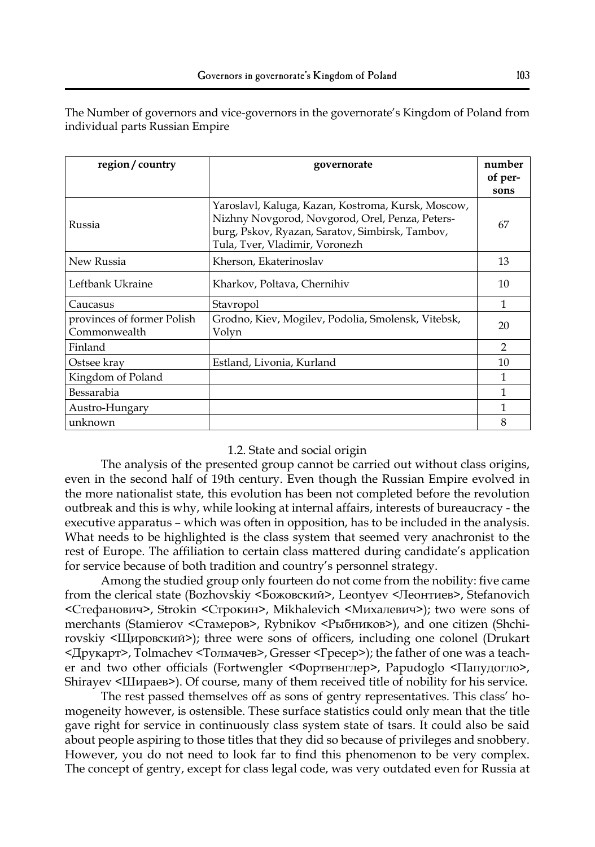| region / country                           | governorate                                                                                                                                                                                | number<br>of per- |
|--------------------------------------------|--------------------------------------------------------------------------------------------------------------------------------------------------------------------------------------------|-------------------|
|                                            |                                                                                                                                                                                            | sons              |
| Russia                                     | Yaroslavl, Kaluga, Kazan, Kostroma, Kursk, Moscow,<br>Nizhny Novgorod, Novgorod, Orel, Penza, Peters-<br>burg, Pskov, Ryazan, Saratov, Simbirsk, Tambov,<br>Tula, Tver, Vladimir, Voronezh | 67                |
| New Russia                                 | Kherson, Ekaterinoslav                                                                                                                                                                     | 13                |
| Leftbank Ukraine                           | Kharkov, Poltava, Chernihiv                                                                                                                                                                | 10                |
| Caucasus                                   | Stavropol                                                                                                                                                                                  | 1                 |
| provinces of former Polish<br>Commonwealth | Grodno, Kiev, Mogilev, Podolia, Smolensk, Vitebsk,<br>Volyn                                                                                                                                | 20                |
| Finland                                    |                                                                                                                                                                                            | $\mathcal{P}$     |
| Ostsee krav                                | Estland, Livonia, Kurland                                                                                                                                                                  | 10                |
| Kingdom of Poland                          |                                                                                                                                                                                            | 1                 |
| Bessarabia                                 |                                                                                                                                                                                            | 1                 |
| Austro-Hungary                             |                                                                                                                                                                                            | 1                 |
| unknown                                    |                                                                                                                                                                                            | 8                 |

The Number of governors and vice-governors in the governorate's Kingdom of Poland from individual parts Russian Empire

## 1.2. State and social origin

The analysis of the presented group cannot be carried out without class origins, even in the second half of 19th century. Even though the Russian Empire evolved in the more nationalist state, this evolution has been not completed before the revolution outbreak and this is why, while looking at internal affairs, interests of bureaucracy - the executive apparatus – which was often in opposition, has to be included in the analysis. What needs to be highlighted is the class system that seemed very anachronist to the rest of Europe. The affiliation to certain class mattered during candidate's application for service because of both tradition and country's personnel strategy.

Among the studied group only fourteen do not come from the nobility: five came from the clerical state (Bozhovskiy <Божовский>, Leontyev <Леонтиев>, Stefanovich <Стефанович>, Strokin <Строкин>, Mikhalevich <Михалевич>); two were sons of merchants (Stamierov <Стамеров>, Rybnikov <Рыбников>), and one citizen (Shchirovskiy <Щировский>); three were sons of officers, including one colonel (Drukart <Друкарт>, Tolmachev <Толмачев>, Gresser <Гресер>); the father of one was a teacher and two other officials (Fortwengler <Фортвенглер>, Papudoglo <Папудогло>, Shirayev <Шираев>). Of course, many of them received title of nobility for his service.

The rest passed themselves off as sons of gentry representatives. This class' homogeneity however, is ostensible. These surface statistics could only mean that the title gave right for service in continuously class system state of tsars. It could also be said about people aspiring to those titles that they did so because of privileges and snobbery. However, you do not need to look far to find this phenomenon to be very complex. The concept of gentry, except for class legal code, was very outdated even for Russia at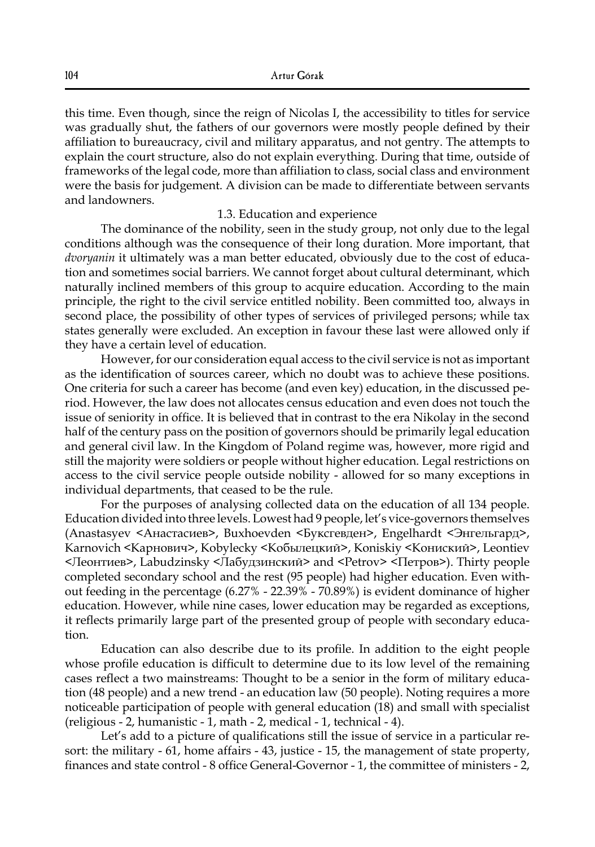this time. Even though, since the reign of Nicolas I, the accessibility to titles for service was gradually shut, the fathers of our governors were mostly people defined by their affiliation to bureaucracy, civil and military apparatus, and not gentry. The attempts to explain the court structure, also do not explain everything. During that time, outside of frameworks of the legal code, more than affiliation to class, social class and environment were the basis for judgement. A division can be made to differentiate between servants and landowners.

#### 1.3. Education and experience

The dominance of the nobility, seen in the study group, not only due to the legal conditions although was the consequence of their long duration. More important, that *dvoryanin* it ultimately was a man better educated, obviously due to the cost of education and sometimes social barriers. We cannot forget about cultural determinant, which naturally inclined members of this group to acquire education. According to the main principle, the right to the civil service entitled nobility. Been committed too, always in second place, the possibility of other types of services of privileged persons; while tax states generally were excluded. An exception in favour these last were allowed only if they have a certain level of education.

However, for our consideration equal access to the civil service is not as important as the identification of sources career, which no doubt was to achieve these positions. One criteria for such a career has become (and even key) education, in the discussed period. However, the law does not allocates census education and even does not touch the issue of seniority in office. It is believed that in contrast to the era Nikolay in the second half of the century pass on the position of governors should be primarily legal education and general civil law. In the Kingdom of Poland regime was, however, more rigid and still the majority were soldiers or people without higher education. Legal restrictions on access to the civil service people outside nobility - allowed for so many exceptions in individual departments, that ceased to be the rule.

For the purposes of analysing collected data on the education of all 134 people. Education divided into three levels. Lowest had 9 people, let's vice-governors themselves (Anastasyev <Анастасиев>, Buxhoevden <Буксгевден>, Engelhardt <Энгельгард>, Karnovich <Карнович>, Kobylecky <Кобылецкий>, Koniskiy <Кониский>, Leontiev <Леонтиев>, Labudzinsky <Лабудзинский> and <Petrov> <Петров>). Thirty people completed secondary school and the rest (95 people) had higher education. Even without feeding in the percentage (6.27% - 22.39% - 70.89%) is evident dominance of higher education. However, while nine cases, lower education may be regarded as exceptions, it reflects primarily large part of the presented group of people with secondary education.

Education can also describe due to its profile. In addition to the eight people whose profile education is difficult to determine due to its low level of the remaining cases reflect a two mainstreams: Thought to be a senior in the form of military education (48 people) and a new trend - an education law (50 people). Noting requires a more noticeable participation of people with general education (18) and small with specialist (religious - 2, humanistic - 1, math - 2, medical - 1, technical - 4).

Let's add to a picture of qualifications still the issue of service in a particular resort: the military - 61, home affairs - 43, justice - 15, the management of state property, finances and state control - 8 office General-Governor - 1, the committee of ministers - 2,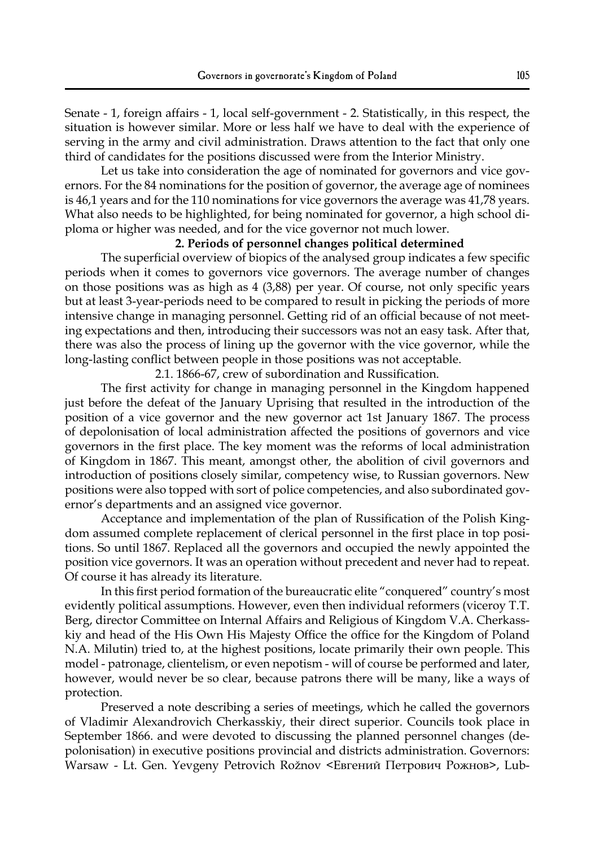Senate - 1, foreign affairs - 1, local self-government - 2. Statistically, in this respect, the situation is however similar. More or less half we have to deal with the experience of serving in the army and civil administration. Draws attention to the fact that only one third of candidates for the positions discussed were from the Interior Ministry.

Let us take into consideration the age of nominated for governors and vice governors. For the 84 nominations for the position of governor, the average age of nominees is 46,1 years and for the 110 nominations for vice governors the average was 41,78 years. What also needs to be highlighted, for being nominated for governor, a high school diploma or higher was needed, and for the vice governor not much lower.

#### **2. Periods of personnel changes political determined**

The superficial overview of biopics of the analysed group indicates a few specific periods when it comes to governors vice governors. The average number of changes on those positions was as high as 4 (3,88) per year. Of course, not only specific years but at least 3-year-periods need to be compared to result in picking the periods of more intensive change in managing personnel. Getting rid of an official because of not meeting expectations and then, introducing their successors was not an easy task. After that, there was also the process of lining up the governor with the vice governor, while the long-lasting conflict between people in those positions was not acceptable.

2.1. 1866-67, crew of subordination and Russification.

The first activity for change in managing personnel in the Kingdom happened just before the defeat of the January Uprising that resulted in the introduction of the position of a vice governor and the new governor act 1st January 1867. The process of depolonisation of local administration affected the positions of governors and vice governors in the first place. The key moment was the reforms of local administration of Kingdom in 1867. This meant, amongst other, the abolition of civil governors and introduction of positions closely similar, competency wise, to Russian governors. New positions were also topped with sort of police competencies, and also subordinated governor's departments and an assigned vice governor.

Acceptance and implementation of the plan of Russification of the Polish Kingdom assumed complete replacement of clerical personnel in the first place in top positions. So until 1867. Replaced all the governors and occupied the newly appointed the position vice governors. It was an operation without precedent and never had to repeat. Of course it has already its literature.

In this first period formation of the bureaucratic elite "conquered" country's most evidently political assumptions. However, even then individual reformers (viceroy T.T. Berg, director Committee on Internal Affairs and Religious of Kingdom V.A. Cherkasskiy and head of the His Own His Majesty Office the office for the Kingdom of Poland N.A. Milutin) tried to, at the highest positions, locate primarily their own people. This model - patronage, clientelism, or even nepotism - will of course be performed and later, however, would never be so clear, because patrons there will be many, like a ways of protection.

Preserved a note describing a series of meetings, which he called the governors of Vladimir Alexandrovich Cherkasskiy, their direct superior. Councils took place in September 1866. and were devoted to discussing the planned personnel changes (depolonisation) in executive positions provincial and districts administration. Governors: Warsaw - Lt. Gen. Yevgeny Petrovich Rožnov <Евгений Петрович Рожнов>, Lub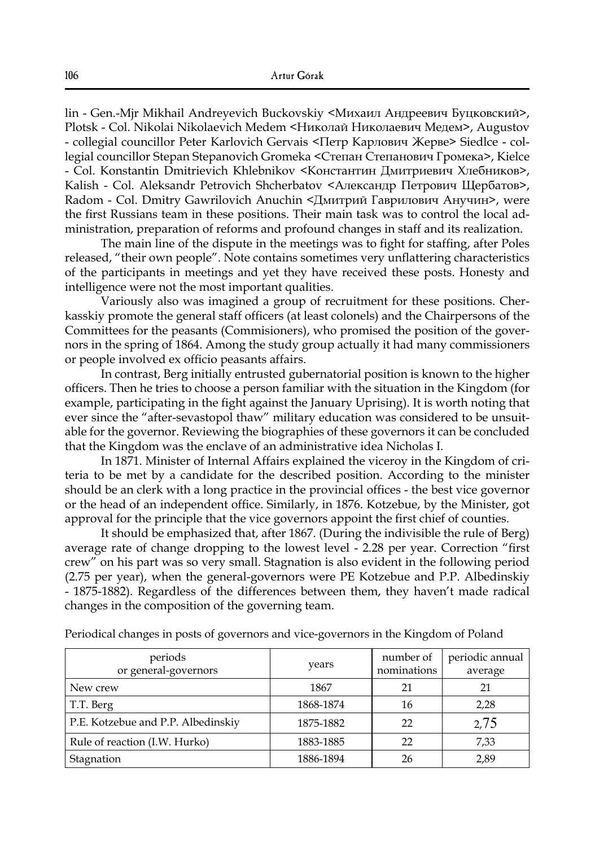lin - Gen.-Mjr Mikhail Andreyevich Buckovskiy <Михаил Андреевич Буцковский>, Plotsk - Col. Nikolai Nikolaevich Medem <Николай Николаевич Медем>, Augustov - collegial councillor Peter Karlovich Gervais <Петр Карлович Жерве> Siedlce - collegial councillor Stepan Stepanovich Gromeka <Степан Степанович Громека>, Kielce - Col. Konstantin Dmitrievich Khlebnikov <Константин Дмитриевич Хлебников>, Kalish - Col. Aleksandr Petrovich Shcherbatov <Александр Петрович Щербатов>, Radom - Col. Dmitry Gawrilovich Anuchin <Дмитрий Гаврилович Анучин>, were the first Russians team in these positions. Their main task was to control the local administration, preparation of reforms and profound changes in staff and its realization.

The main line of the dispute in the meetings was to fight for staffing, after Poles released, "their own people". Note contains sometimes very unflattering characteristics of the participants in meetings and yet they have received these posts. Honesty and intelligence were not the most important qualities.

Variously also was imagined a group of recruitment for these positions. Cherkasskiy promote the general staff officers (at least colonels) and the Chairpersons of the Committees for the peasants (Commisioners), who promised the position of the governors in the spring of 1864. Among the study group actually it had many commissioners or people involved ex officio peasants affairs.

In contrast, Berg initially entrusted gubernatorial position is known to the higher officers. Then he tries to choose a person familiar with the situation in the Kingdom (for example, participating in the fight against the January Uprising). It is worth noting that ever since the "after-sevastopol thaw" military education was considered to be unsuitable for the governor. Reviewing the biographies of these governors it can be concluded that the Kingdom was the enclave of an administrative idea Nicholas I.

In 1871. Minister of Internal Affairs explained the viceroy in the Kingdom of criteria to be met by a candidate for the described position. According to the minister should be an clerk with a long practice in the provincial offices - the best vice governor or the head of an independent office. Similarly, in 1876. Kotzebue, by the Minister, got approval for the principle that the vice governors appoint the first chief of counties.

It should be emphasized that, after 1867. (During the indivisible the rule of Berg) average rate of change dropping to the lowest level - 2.28 per year. Correction "first crew" on his part was so very small. Stagnation is also evident in the following period (2.75 per year), when the general-governors were PE Kotzebue and P.P. Albedinskiy - 1875-1882). Regardless of the differences between them, they haven't made radical changes in the composition of the governing team.

| periods<br>or general-governors    | years     | number of<br>nominations | periodic annual<br>average |
|------------------------------------|-----------|--------------------------|----------------------------|
| New crew                           | 1867      | 21                       | 21                         |
| T.T. Berg                          | 1868-1874 | 16                       | 2,28                       |
| P.E. Kotzebue and P.P. Albedinskiy | 1875-1882 | 22                       | 2,75                       |
| Rule of reaction (I.W. Hurko)      | 1883-1885 | 22                       | 7,33                       |
| Stagnation                         | 1886-1894 | 26                       | 2,89                       |

Periodical changes in posts of governors and vice-governors in the Kingdom of Poland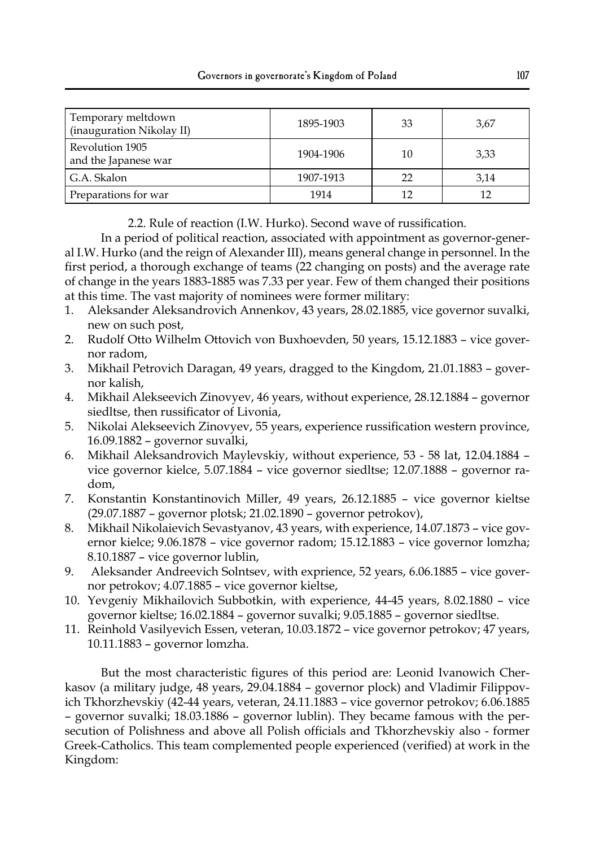| Temporary meltdown<br>(inauguration Nikolay II) | 1895-1903 | 33 | 3,67 |
|-------------------------------------------------|-----------|----|------|
| Revolution 1905<br>and the Japanese war         | 1904-1906 | 10 | 3,33 |
| G.A. Skalon                                     | 1907-1913 | フフ | 3,14 |
| Preparations for war                            | 1914      |    |      |

2.2. Rule of reaction (I.W. Hurko). Second wave of russification.

In a period of political reaction, associated with appointment as governor-general I.W. Hurko (and the reign of Alexander III), means general change in personnel. In the first period, a thorough exchange of teams (22 changing on posts) and the average rate of change in the years 1883-1885 was 7.33 per year. Few of them changed their positions at this time. The vast majority of nominees were former military:

- 1. Aleksander Aleksandrovich Annenkov, 43 years, 28.02.1885, vice governor suvalki, new on such post,
- 2. Rudolf Otto Wilhelm Ottovich von Buxhoevden, 50 years, 15.12.1883 vice governor radom,
- 3. Mikhail Petrovich Daragan, 49 years, dragged to the Kingdom, 21.01.1883 governor kalish,
- 4. Mikhail Alekseevich Zinovyev, 46 years, without experience, 28.12.1884 governor siedltse, then russificator of Livonia,
- 5. Nikolai Alekseevich Zinovyev, 55 years, experience russification western province, 16.09.1882 – governor suvalki,
- 6. Mikhail Aleksandrovich Maylevskiy, without experience, 53 58 lat, 12.04.1884 vice governor kielce, 5.07.1884 – vice governor siedltse; 12.07.1888 – governor radom,
- 7. Konstantin Konstantinovich Miller, 49 years, 26.12.1885 vice governor kieltse (29.07.1887 – governor plotsk; 21.02.1890 – governor petrokov),
- 8. Mikhail Nikolaievich Sevastyanov, 43 years, with experience, 14.07.1873 vice governor kielce; 9.06.1878 – vice governor radom; 15.12.1883 – vice governor lomzha; 8.10.1887 – vice governor lublin,
- 9. Aleksander Andreevich Solntsev, with exprience, 52 years, 6.06.1885 vice governor petrokov; 4.07.1885 – vice governor kieltse,
- 10. Yevgeniy Mikhailovich Subbotkin, with experience, 44-45 years, 8.02.1880 vice governor kieltse; 16.02.1884 – governor suvalki; 9.05.1885 – governor siedltse.
- 11. Reinhold Vasilyevich Essen, veteran, 10.03.1872 vice governor petrokov; 47 years, 10.11.1883 – governor lomzha.

But the most characteristic figures of this period are: Leonid Ivanowich Cherkasov (a military judge, 48 years, 29.04.1884 – governor plock) and Vladimir Filippovich Tkhorzhevskiy (42-44 years, veteran, 24.11.1883 – vice governor petrokov; 6.06.1885 – governor suvalki; 18.03.1886 – governor lublin). They became famous with the persecution of Polishness and above all Polish officials and Tkhorzhevskiy also - former Greek-Catholics. This team complemented people experienced (verified) at work in the Kingdom: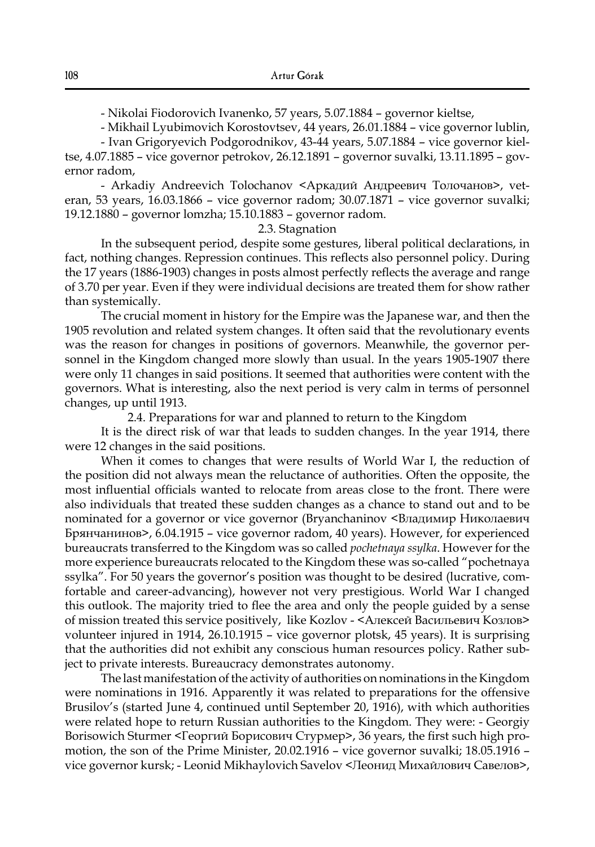- Nikolai Fiodorovich Ivanenko, 57 years, 5.07.1884 – governor kieltse,

- Mikhail Lyubimovich Korostovtsev, 44 years, 26.01.1884 – vice governor lublin,

- Ivan Grigoryevich Podgorodnikov, 43-44 years, 5.07.1884 – vice governor kieltse, 4.07.1885 – vice governor petrokov, 26.12.1891 – governor suvalki, 13.11.1895 – governor radom,

- Arkadiy Andreevich Tolochanov <Аркадий Андреевич Толочанов>, veteran, 53 years, 16.03.1866 – vice governor radom; 30.07.1871 – vice governor suvalki; 19.12.1880 – governor lomzha; 15.10.1883 – governor radom.

## 2.3. Stagnation

In the subsequent period, despite some gestures, liberal political declarations, in fact, nothing changes. Repression continues. This reflects also personnel policy. During the 17 years (1886-1903) changes in posts almost perfectly reflects the average and range of 3.70 per year. Even if they were individual decisions are treated them for show rather than systemically.

The crucial moment in history for the Empire was the Japanese war, and then the 1905 revolution and related system changes. It often said that the revolutionary events was the reason for changes in positions of governors. Meanwhile, the governor personnel in the Kingdom changed more slowly than usual. In the years 1905-1907 there were only 11 changes in said positions. It seemed that authorities were content with the governors. What is interesting, also the next period is very calm in terms of personnel changes, up until 1913.

2.4. Preparations for war and planned to return to the Kingdom

It is the direct risk of war that leads to sudden changes. In the year 1914, there were 12 changes in the said positions.

When it comes to changes that were results of World War I, the reduction of the position did not always mean the reluctance of authorities. Often the opposite, the most influential officials wanted to relocate from areas close to the front. There were also individuals that treated these sudden changes as a chance to stand out and to be nominated for a governor or vice governor (Bryanchaninov <Владимир Николаевич Брянчанинов>, 6.04.1915 – vice governor radom, 40 years). However, for experienced bureaucrats transferred to the Kingdom was so called *pochetnaya ssylka*. However for the more experience bureaucrats relocated to the Kingdom these was so-called "pochetnaya ssylka". For 50 years the governor's position was thought to be desired (lucrative, comfortable and career-advancing), however not very prestigious. World War I changed this outlook. The majority tried to flee the area and only the people guided by a sense of mission treated this service positively, like Kozlov - <Алексей Васильевич Козлов> volunteer injured in 1914, 26.10.1915 – vice governor plotsk, 45 years). It is surprising that the authorities did not exhibit any conscious human resources policy. Rather subject to private interests. Bureaucracy demonstrates autonomy.

The last manifestation of the activity of authorities on nominations in the Kingdom were nominations in 1916. Apparently it was related to preparations for the offensive Brusilov's (started June 4, continued until September 20, 1916), with which authorities were related hope to return Russian authorities to the Kingdom. They were: - Georgiy Borisowich Sturmer <Георгий Борисович Стурмер>, 36 years, the first such high promotion, the son of the Prime Minister, 20.02.1916 – vice governor suvalki; 18.05.1916 – vice governor kursk; - Leonid Mikhaylovich Savelov <Леонид Михайлович Савелов>,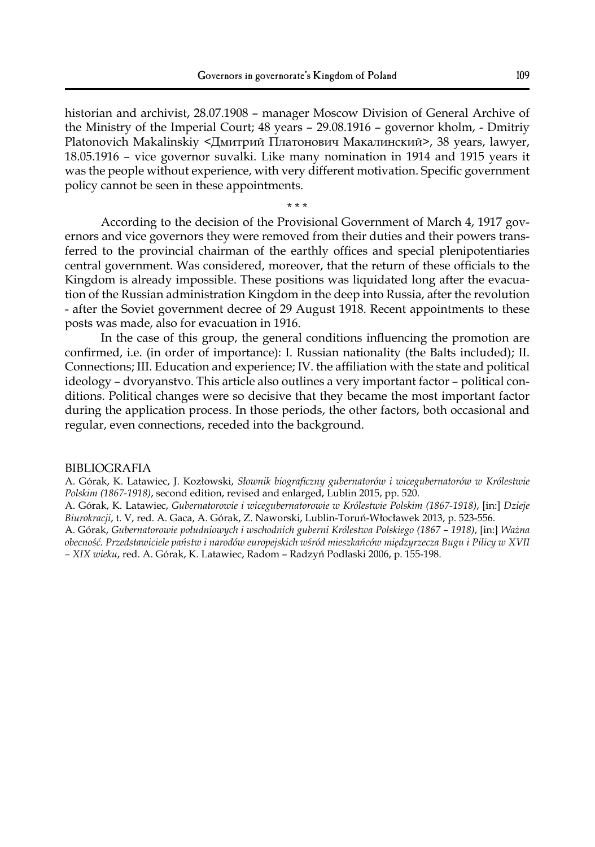historian and archivist, 28.07.1908 – manager Moscow Division of General Archive of the Ministry of the Imperial Court; 48 years – 29.08.1916 – governor kholm, - Dmitriy Platonovich Makalinskiy <Дмитрий Платонович Макалинский>, 38 years, lawyer, 18.05.1916 – vice governor suvalki. Like many nomination in 1914 and 1915 years it was the people without experience, with very different motivation. Specific government policy cannot be seen in these appointments.

\* \* \*

According to the decision of the Provisional Government of March 4, 1917 governors and vice governors they were removed from their duties and their powers transferred to the provincial chairman of the earthly offices and special plenipotentiaries central government. Was considered, moreover, that the return of these officials to the Kingdom is already impossible. These positions was liquidated long after the evacuation of the Russian administration Kingdom in the deep into Russia, after the revolution - after the Soviet government decree of 29 August 1918. Recent appointments to these posts was made, also for evacuation in 1916.

In the case of this group, the general conditions influencing the promotion are confirmed, i.e. (in order of importance): I. Russian nationality (the Balts included); II. Connections; III. Education and experience; IV. the affiliation with the state and political ideology – dvoryanstvo. This article also outlines a very important factor – political conditions. Political changes were so decisive that they became the most important factor during the application process. In those periods, the other factors, both occasional and regular, even connections, receded into the background.

#### BIBLIOGRAFIA

А. Górak, K. Latawiec, J. Kozłowski, *Słownik biograficzny gubernatorów i wicegubernatorów w Królestwie Polskim (1867-1918)*, second edition, revised and enlarged, Lublin 2015, pp. 520.

A. Górak, K. Latawiec, *Gubernatorowie i wicegubernatorowie w Królestwie Polskim (1867-1918)*, [in:] *Dzieje Biurokracji*, t. V, red. A. Gaca, A. Górak, Z. Naworski, Lublin-Toruń-Włocławek 2013, p. 523-556.

A. Górak, *Gubernatorowie południowych i wschodnich guberni Królestwa Polskiego (1867 – 1918)*, [in:] *Ważna obecność. Przedstawiciele państw i narodów europejskich wśród mieszkańców międzyrzecza Bugu i Pilicy w XVII – XIX wieku*, red. A. Górak, K. Latawiec, Radom – Radzyń Podlaski 2006, p. 155-198.